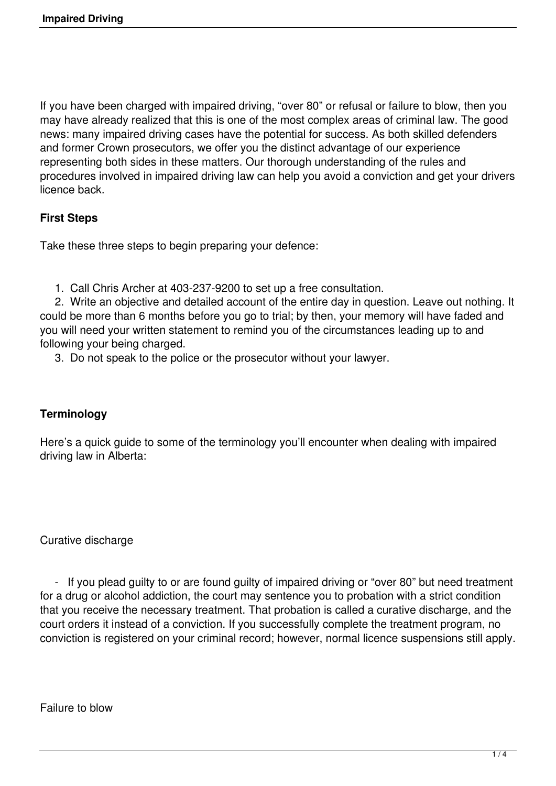If you have been charged with impaired driving, "over 80" or refusal or failure to blow, then you may have already realized that this is one of the most complex areas of criminal law. The good news: many impaired driving cases have the potential for success. As both skilled defenders and former Crown prosecutors, we offer you the distinct advantage of our experience representing both sides in these matters. Our thorough understanding of the rules and procedures involved in impaired driving law can help you avoid a conviction and get your drivers licence back.

### **First Steps**

Take these three steps to begin preparing your defence:

1. Call Chris Archer at 403-237-9200 to set up a free consultation.

 2. Write an objective and detailed account of the entire day in question. Leave out nothing. It could be more than 6 months before you go to trial; by then, your memory will have faded and you will need your written statement to remind you of the circumstances leading up to and following your being charged.

3. Do not speak to the police or the prosecutor without your lawyer.

#### **Terminology**

Here's a quick guide to some of the terminology you'll encounter when dealing with impaired driving law in Alberta:

#### Curative discharge

 - If you plead guilty to or are found guilty of impaired driving or "over 80" but need treatment for a drug or alcohol addiction, the court may sentence you to probation with a strict condition that you receive the necessary treatment. That probation is called a curative discharge, and the court orders it instead of a conviction. If you successfully complete the treatment program, no conviction is registered on your criminal record; however, normal licence suspensions still apply.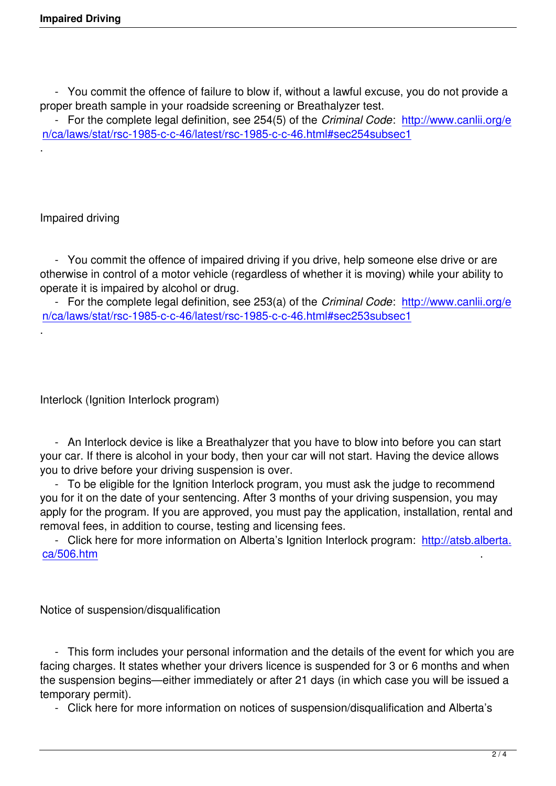- You commit the offence of failure to blow if, without a lawful excuse, you do not provide a proper breath sample in your roadside screening or Breathalyzer test.

 - For the complete legal definition, see 254(5) of the *Criminal Code*: http://www.canlii.org/e n/ca/laws/stat/rsc-1985-c-c-46/latest/rsc-1985-c-c-46.html#sec254subsec1

# Impaired driving

.

.

 - You commit the offence of impaired driving if you drive, help someone else drive or are otherwise in control of a motor vehicle (regardless of whether it is moving) while your ability to operate it is impaired by alcohol or drug.

 - For the complete legal definition, see 253(a) of the *Criminal Code*: http://www.canlii.org/e n/ca/laws/stat/rsc-1985-c-c-46/latest/rsc-1985-c-c-46.html#sec253subsec1

Interlock (Ignition Interlock program)

 - An Interlock device is like a Breathalyzer that you have to blow into before you can start your car. If there is alcohol in your body, then your car will not start. Having the device allows you to drive before your driving suspension is over.

 - To be eligible for the Ignition Interlock program, you must ask the judge to recommend you for it on the date of your sentencing. After 3 months of your driving suspension, you may apply for the program. If you are approved, you must pay the application, installation, rental and removal fees, in addition to course, testing and licensing fees.

 - Click here for more information on Alberta's Ignition Interlock program: http://atsb.alberta. ca/506.htm .

[Notice of su](http://atsb.alberta.ca/506.htm)spension/disqualification

 - This form includes your personal information and the details of the event for which you are facing charges. It states whether your drivers licence is suspended for 3 or 6 months and when the suspension begins—either immediately or after 21 days (in which case you will be issued a temporary permit).

- Click here for more information on notices of suspension/disqualification and Alberta's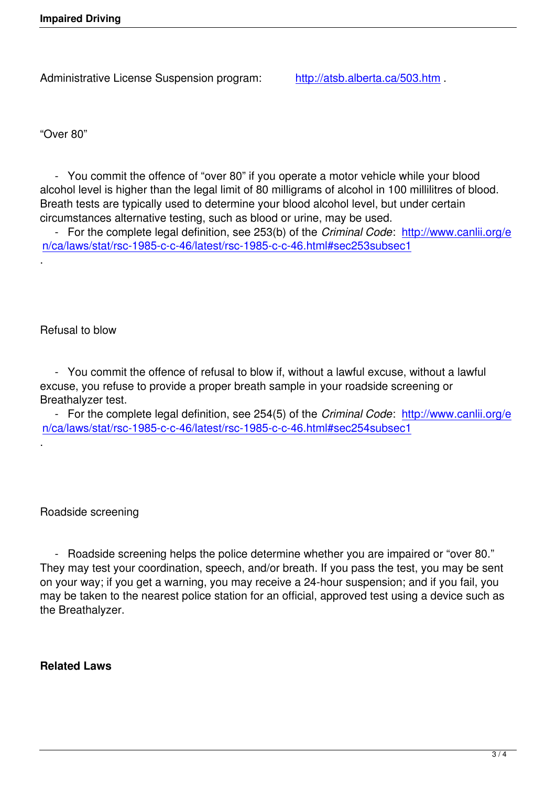"Over 80"

.

.

 - You commit the offence of "over 80" if you operate a motor vehicle while your blood alcohol level is higher than the legal limit of 80 milligrams of alcohol in 100 millilitres of blood. Breath tests are typically used to determine your blood alcohol level, but under certain circumstances alternative testing, such as blood or urine, may be used.

 - For the complete legal definition, see 253(b) of the *Criminal Code*: http://www.canlii.org/e n/ca/laws/stat/rsc-1985-c-c-46/latest/rsc-1985-c-c-46.html#sec253subsec1

Refusal to blow

 - You commit the offence of refusal to blow if, without a lawful excuse, without a lawful excuse, you refuse to provide a proper breath sample in your roadside screening or Breathalyzer test.

 - For the complete legal definition, see 254(5) of the *Criminal Code*: http://www.canlii.org/e n/ca/laws/stat/rsc-1985-c-c-46/latest/rsc-1985-c-c-46.html#sec254subsec1

Roadside screening

 - Roadside screening helps the police determine whether you are impaired or "over 80." They may test your coordination, speech, and/or breath. If you pass the test, you may be sent on your way; if you get a warning, you may receive a 24-hour suspension; and if you fail, you may be taken to the nearest police station for an official, approved test using a device such as the Breathalyzer.

## **Related Laws**